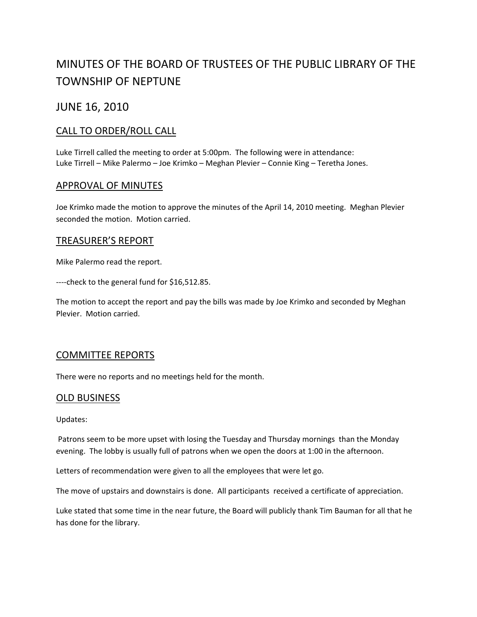# MINUTES OF THE BOARD OF TRUSTEES OF THE PUBLIC LIBRARY OF THE TOWNSHIP OF NEPTUNE

## JUNE 16, 2010

## CALL TO ORDER/ROLL CALL

Luke Tirrell called the meeting to order at 5:00pm. The following were in attendance: Luke Tirrell – Mike Palermo – Joe Krimko – Meghan Plevier – Connie King – Teretha Jones.

### APPROVAL OF MINUTES

Joe Krimko made the motion to approve the minutes of the April 14, 2010 meeting. Meghan Plevier seconded the motion. Motion carried.

### TREASURER'S REPORT

Mike Palermo read the report.

‐‐‐‐check to the general fund for \$16,512.85.

The motion to accept the report and pay the bills was made by Joe Krimko and seconded by Meghan Plevier. Motion carried.

### COMMITTEE REPORTS

There were no reports and no meetings held for the month.

### OLD BUSINESS

Updates:

Patrons seem to be more upset with losing the Tuesday and Thursday mornings than the Monday evening. The lobby is usually full of patrons when we open the doors at 1:00 in the afternoon.

Letters of recommendation were given to all the employees that were let go.

The move of upstairs and downstairs is done. All participants received a certificate of appreciation.

Luke stated that some time in the near future, the Board will publicly thank Tim Bauman for all that he has done for the library.